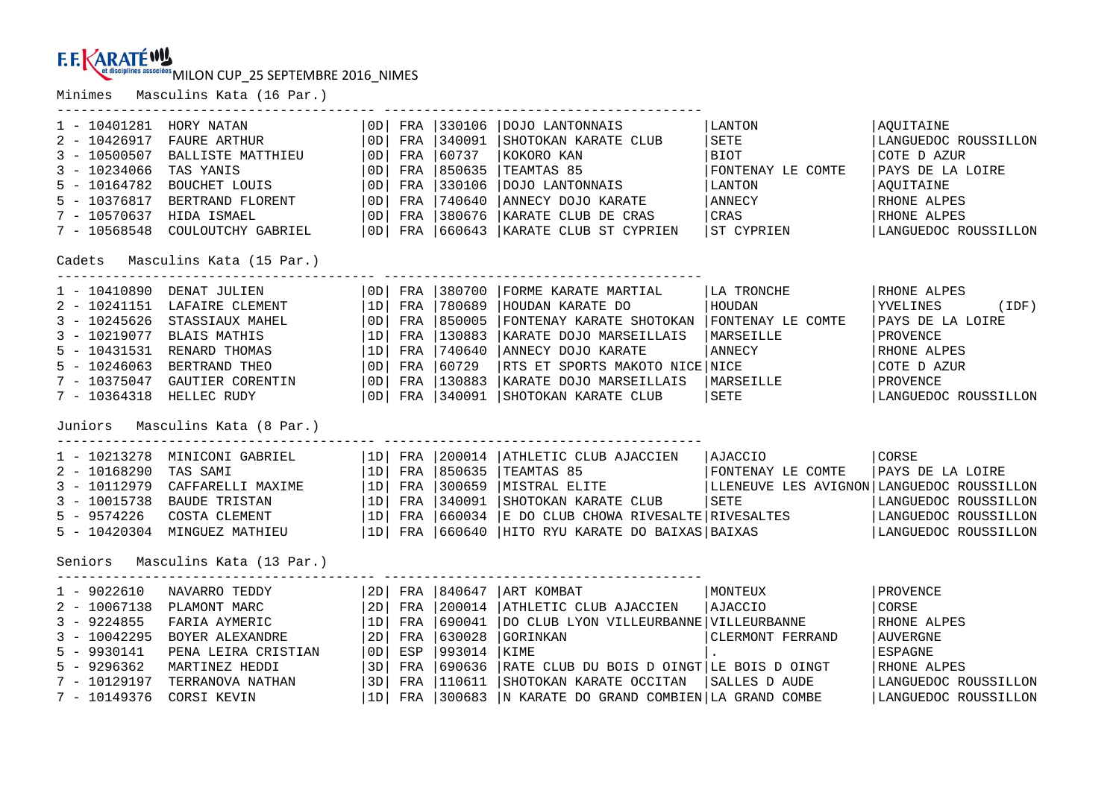MILON CUP\_25 SEPTEMBRE 2016\_NIMES

Minimes Masculins Kata (16 Par.)

| 1 - 10401281 HORY NATAN<br>$2 - 10426917$<br>$3 - 10500507$<br>$3 - 10234066$<br>$5 - 10164782$<br>$5 - 10376817$<br>$7 - 10570637$<br>7 - 10568548 | FAURE ARTHUR<br>BALLISTE MATTHIEU<br>TAS YANIS<br>BOUCHET LOUIS<br>BERTRAND FLORENT<br>HIDA ISMAEL<br>COULOUTCHY GABRIEL<br>Cadets Masculins Kata (15 Par.)                                  | OD  <br>0D<br>  OD  <br> OD <br>  OD  <br>  OD  <br> OD   | FRA<br>FRA<br>FRA<br>FRA<br>FRA<br>FRA        | 330106<br> 340091<br>60737<br>850635<br>330106<br>740640<br>FRA 380676 | DOJO LANTONNAIS<br>SHOTOKAN KARATE CLUB<br>KOKORO KAN<br>TEAMTAS 85<br>DOJO LANTONNAIS<br>ANNECY DOJO KARATE<br>KARATE CLUB DE CRAS<br>  OD   FRA   660643   KARATE CLUB ST CYPRIEN                                                                | LANTON<br>SETE<br>  BIOT<br>FONTENAY LE COMTE<br>LANTON<br>ANNECY<br>  <sub>CRAS</sub><br>ST CYPRIEN | AOUITAINE<br>LANGUEDOC ROUSSILLON<br>COTE D AZUR<br>PAYS DE LA LOIRE<br>AOUITAINE<br>RHONE ALPES<br>RHONE ALPES<br>LANGUEDOC ROUSSILLON |
|-----------------------------------------------------------------------------------------------------------------------------------------------------|----------------------------------------------------------------------------------------------------------------------------------------------------------------------------------------------|-----------------------------------------------------------|-----------------------------------------------|------------------------------------------------------------------------|----------------------------------------------------------------------------------------------------------------------------------------------------------------------------------------------------------------------------------------------------|------------------------------------------------------------------------------------------------------|-----------------------------------------------------------------------------------------------------------------------------------------|
| 1 - 10410890 DENAT JULIEN<br>$3 - 10245626$<br>$3 - 10219077$<br>$5 - 10431531$<br>$5 - 10246063$<br>7 - 10375047<br>$7 - 10364318$                 | 2 - 10241151 LAFAIRE CLEMENT<br>STASSIAUX MAHEL<br>BLAIS MATHIS<br>RENARD THOMAS<br>BERTRAND THEO<br>GAUTIER CORENTIN<br>HELLEC RUDY<br>Juniors Masculins Kata (8 Par.)                      | 1D <br>  OD  <br> 1D <br>  1D<br>  OD  <br> OD            | OD  FRA<br>FRA<br>FRA<br>FRA<br>FRA<br>FRA    | 380700<br>780689<br>850005<br> 130883<br>740640<br>60729<br>FRA 130883 | FORME KARATE MARTIAL<br>HOUDAN KARATE DO<br>FONTENAY KARATE SHOTOKAN FONTENAY LE COMTE<br>KARATE DOJO MARSEILLAIS<br>ANNECY DOJO KARATE<br>RTS ET SPORTS MAKOTO NICE NICE<br>KARATE DOJO MARSEILLAIS<br>  OD   FRA   340091   SHOTOKAN KARATE CLUB | LA TRONCHE<br>HOUDAN<br>MARSEILLE<br>ANNECY<br>MARSEILLE<br>SETE                                     | RHONE ALPES<br>YVELINES<br>(IDF)<br>PAYS DE LA LOIRE<br>PROVENCE<br>RHONE ALPES<br>COTE D AZUR<br>PROVENCE<br>LANGUEDOC ROUSSILLON      |
| $2 - 10168290$<br>$3 - 10112979$<br>$5 - 9574226$                                                                                                   | 1 - 10213278 MINICONI GABRIEL<br>TAS SAMI<br>CAFFARELLI MAXIME $ 1D $ FRA<br>3 - 10015738 BAUDE TRISTAN<br>COSTA CLEMENT<br>5 - 10420304 MINGUEZ MATHIEU<br>Seniors Masculins Kata (13 Par.) | 1D                                                        | FRA                                           | 850635<br>300659                                                       | 1D  FRA  200014  ATHLETIC CLUB AJACCIEN<br>  1D   FRA   340091   SHOTOKAN KARATE CLUB<br>  1D   FRA   460024   FRA CLUB<br> 1D  FRA  660034  E DO CLUB CHOWA RIVESALTE RIVESALTES<br> 1D  FRA  660640  HITO RYU KARATE DO BAIXAS BAIXAS            | AJACCIO<br>SETE                                                                                      | CORSE<br>LANGUEDOC ROUSSILLON<br>LANGUEDOC ROUSSILLON<br>LANGUEDOC ROUSSILLON                                                           |
| $1 - 9022610$<br>$3 - 9224855$<br>$3 - 10042295$<br>$5 - 9930141$<br>$5 - 9296362$<br>$7 - 10129197$<br>7 - 10149376                                | NAVARRO TEDDY<br>2 - 10067138 PLAMONT MARC<br>FARIA AYMERIC<br>BOYER ALEXANDRE<br>PENA LEIRA CRISTIAN<br>MARTINEZ HEDDI<br>TERRANOVA NATHAN<br>CORSI KEVIN                                   | 2D  <br>  2D<br> 1D <br>2D<br> OD <br> 3D <br> 3D <br> 1D | FRA<br>FRA<br>FRA<br>FRA<br>ESP<br>FRA<br>FRA | 840647<br>200014<br>690041<br>630028<br>993014<br> 690636<br>110611    | ART KOMBAT<br>ATHLETIC CLUB AJACCIEN<br>DO CLUB LYON VILLEURBANNE VILLEURBANNE<br>GORINKAN<br>KIME<br>RATE CLUB DU BOIS D OINGT LE BOIS D OINGT<br>SHOTOKAN KARATE OCCITAN<br>FRA   300683   N KARATE DO GRAND COMBIEN   LA GRAND COMBE            | MONTEUX<br>  AJACCIO<br>CLERMONT FERRAND<br> SALLES D AUDE                                           | PROVENCE<br>CORSE<br>RHONE ALPES<br><b>AUVERGNE</b><br><b>ESPAGNE</b><br>RHONE ALPES<br>LANGUEDOC ROUSSILLON<br>LANGUEDOC ROUSSILLON    |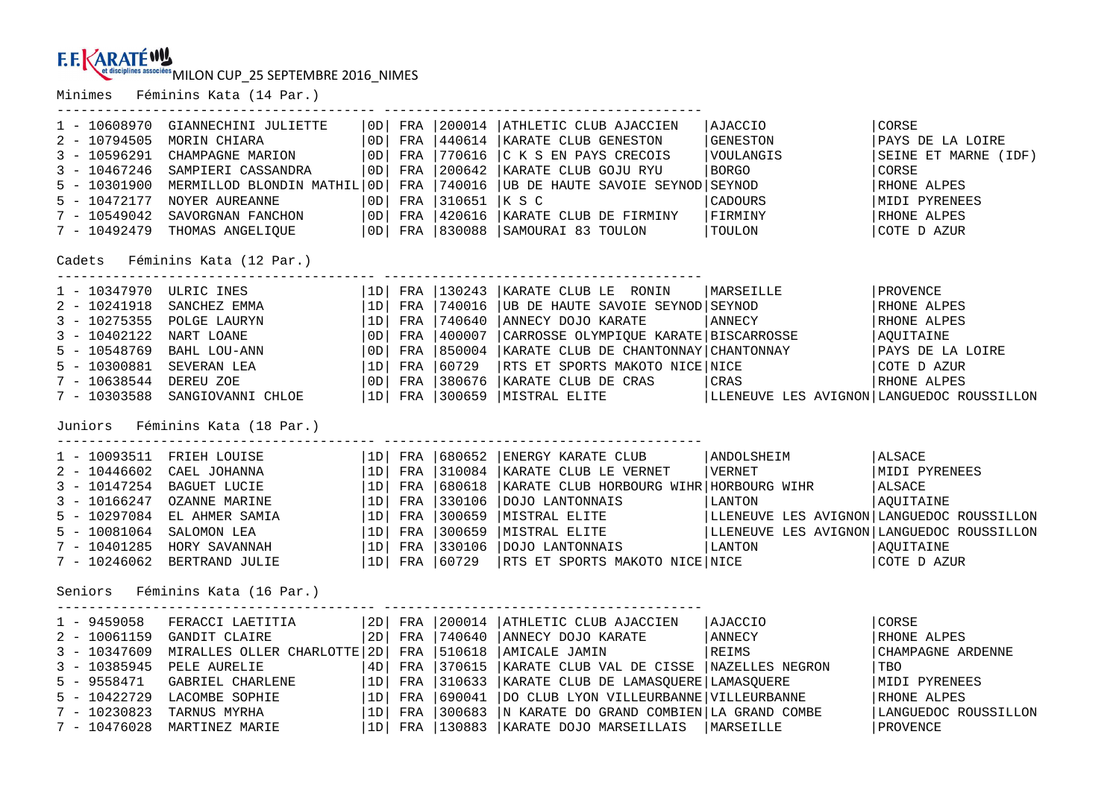MILON CUP\_25 SEPTEMBRE 2016\_NIMES

---------------------------------------- ----------------------------------------

Minimes Féminins Kata (14 Par.)

| $1 - 10608970$<br>$2 - 10794505$   | GIANNECHINI JULIETTE<br>MORIN CHIARA | 0D.<br>OD      | FRA<br>FRA | 200014<br>440614 | ATHLETIC CLUB AJACCIEN<br>KARATE CLUB GENESTON | AJACCIO<br>GENESTON                       | CORSE<br>PAYS DE LA LOIRE |  |
|------------------------------------|--------------------------------------|----------------|------------|------------------|------------------------------------------------|-------------------------------------------|---------------------------|--|
| $3 - 10596291$                     | CHAMPAGNE MARION                     | 0 <sub>D</sub> | FRA        | 770616           | C K S EN PAYS CRECOIS                          | VOULANGIS                                 | SEINE ET MARNE (IDF)      |  |
| $3 - 10467246$                     | SAMPIERI CASSANDRA                   | 0D.            | FRA        | 200642           | KARATE CLUB GOJU RYU                           | <b>BORGO</b>                              | CORSE                     |  |
| $5 - 10301900$                     | MERMILLOD BLONDIN MATHIL             | 0D             | FRA        | 740016           | UB DE HAUTE SAVOIE SEYNOD SEYNOD               |                                           | RHONE ALPES               |  |
| $5 - 10472177$                     | <b>NOYER AUREANNE</b>                | 0 <sub>D</sub> | FRA        | 310651           | K S C                                          | CADOURS                                   | MIDI PYRENEES             |  |
| $7 - 10549042$                     | SAVORGNAN FANCHON                    | 0D             | FRA        | 420616           | KARATE CLUB DE FIRMINY                         | FIRMINY                                   | RHONE ALPES               |  |
| $7 - 10492479$                     | THOMAS ANGELIQUE                     | 0D             |            |                  | SAMOURAI 83 TOULON                             | TOULON                                    | COTE D AZUR               |  |
| FRA 830088                         |                                      |                |            |                  |                                                |                                           |                           |  |
| Féminins Kata (12 Par.)<br>Cadets  |                                      |                |            |                  |                                                |                                           |                           |  |
| 1 - 10347970 ULRIC INES            |                                      | 1D             |            | FRA 130243       | KARATE CLUB LE RONIN                           | MARSEILLE                                 | <i>FROVENCE</i>           |  |
| $2 - 10241918$                     | SANCHEZ EMMA                         | 1D             |            | FRA 740016       | UB DE HAUTE SAVOIE SEYNOD SEYNOD               |                                           | RHONE ALPES               |  |
| $3 - 10275355$                     | POLGE LAURYN                         | 1D             |            | FRA 740640       | ANNECY DOJO KARATE                             | ANNECY                                    | RHONE ALPES               |  |
| $3 - 10402122$                     | NART LOANE                           | 0D             | FRA        | 400007           | CARROSSE OLYMPIQUE KARATE   BISCARROSSE        |                                           | AQUITAINE                 |  |
| $5 - 10548769$                     | BAHL LOU-ANN                         | $\overline{0}$ |            | FRA 850004       | KARATE CLUB DE CHANTONNAY CHANTONNAY           |                                           | PAYS DE LA LOIRE          |  |
| $5 - 10300881$                     | SEVERAN LEA                          | 1D             | FRA        | 60729            | RTS ET SPORTS MAKOTO NICE NICE                 |                                           | COTE D AZUR               |  |
| 7 - 10638544                       | DEREU ZOE                            | OD             |            | FRA 1380676      | KARATE CLUB DE CRAS                            | CRAS                                      | RHONE ALPES               |  |
| $7 - 10303588$                     | SANGIOVANNI CHLOE                    | 1D             |            | FRA 300659       | MISTRAL ELITE                                  | LLENEUVE LES AVIGNON LANGUEDOC ROUSSILLON |                           |  |
| Féminins Kata (18 Par.)<br>Juniors |                                      |                |            |                  |                                                |                                           |                           |  |
| 1 - 10093511 FRIEH LOUISE          |                                      | 1D             |            | FRA 1680652      | ENERGY KARATE CLUB                             | ANDOLSHEIM                                | ALSACE                    |  |
| $2 - 10446602$                     | CAEL JOHANNA                         | 1D             |            | FRA 1310084      | KARATE CLUB LE VERNET                          | VERNET                                    | MIDI PYRENEES             |  |
| $3 - 10147254$                     | BAGUET LUCIE                         | 1D             | FRA        | 680618           | KARATE CLUB HORBOURG WIHR HORBOURG WIHR        |                                           | ALSACE                    |  |
| $3 - 10166247$                     | OZANNE MARINE                        | 1D             | FRA        | 330106           | DOJO LANTONNAIS                                | LANTON                                    | AQUITAINE                 |  |
| $5 - 10297084$                     | EL AHMER SAMIA                       | 1D             | FRA        | 300659           | MISTRAL ELITE                                  | LLENEUVE LES AVIGNON LANGUEDOC ROUSSILLON |                           |  |
| $5 - 10081064$                     | SALOMON LEA                          | 1D             | FRA        | 300659           | MISTRAL ELITE                                  | LLENEUVE LES AVIGNON LANGUEDOC ROUSSILLON |                           |  |
| $7 - 10401285$                     | HORY SAVANNAH                        | 1D             |            | FRA 330106       | DOJO LANTONNAIS                                | LANTON                                    | AOUITAINE                 |  |
| $7 - 10246062$                     | BERTRAND JULIE                       | 1D             |            | FRA 60729        | RTS ET SPORTS MAKOTO NICE NICE                 |                                           | COTE D AZUR               |  |
| Féminins Kata (16 Par.)<br>Seniors |                                      |                |            |                  |                                                |                                           |                           |  |
| $1 - 9459058$                      | FERACCI LAETITIA                     | 2D             |            | FRA 200014       | ATHLETIC CLUB AJACCIEN                         | AJACCIO                                   | CORSE                     |  |
| $2 - 10061159$                     | GANDIT CLAIRE                        | 2D             |            | FRA   740640     | ANNECY DOJO KARATE                             | ANNECY                                    | RHONE ALPES               |  |
| $3 - 10347609$                     | MIRALLES OLLER CHARLOTTE 2D          |                | FRA        | 510618           | AMICALE JAMIN                                  | REIMS                                     | CHAMPAGNE ARDENNE         |  |
| $3 - 10385945$                     | PELE AURELIE                         | 4D             | FRA        | 370615           | KARATE CLUB VAL DE CISSE                       | NAZELLES NEGRON                           | <b>TBO</b>                |  |
| $5 - 9558471$                      | GABRIEL CHARLENE                     | 1D             | FRA        | 310633           | KARATE CLUB DE LAMASQUERE LAMASQUERE           |                                           | MIDI PYRENEES             |  |
| $5 - 10422729$                     | LACOMBE SOPHIE                       | 1D             | FRA        | 690041           | DO CLUB LYON VILLEURBANNE VILLEURBANNE         |                                           | RHONE ALPES               |  |
| $7 - 10230823$                     | TARNUS MYRHA                         | 1D             |            | FRA 1300683      | N KARATE DO GRAND COMBIEN LA GRAND COMBE       |                                           | LANGUEDOC ROUSSILLON      |  |
| $7 - 10476028$                     | MARTINEZ MARIE                       | 1D             |            | FRA 130883       | KARATE DOJO MARSEILLAIS                        | <b>MARSEILLE</b>                          | PROVENCE                  |  |